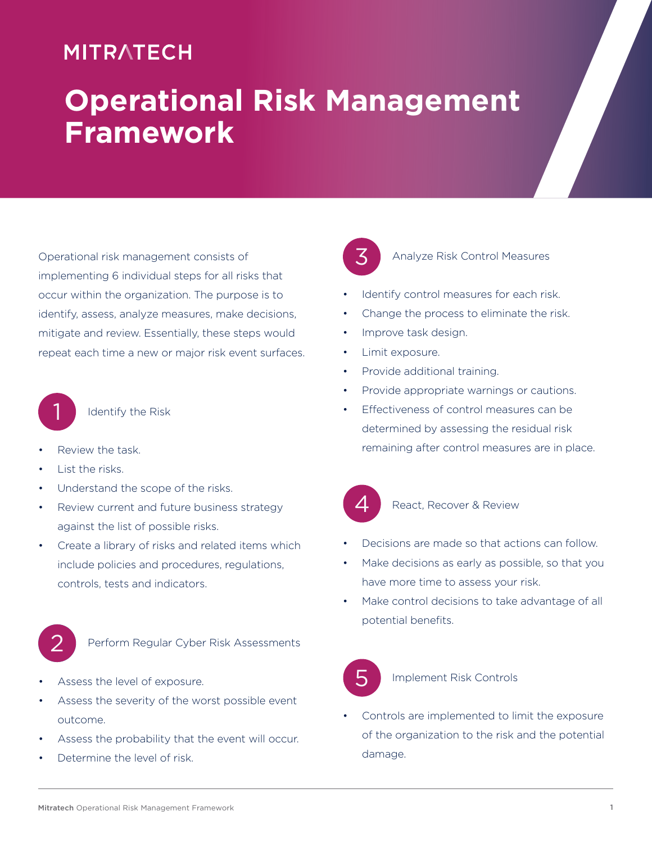## **MITRATECH**

# **Operational Risk Management Framework**

Operational risk management consists of implementing 6 individual steps for all risks that occur within the organization. The purpose is to identify, assess, analyze measures, make decisions, mitigate and review. Essentially, these steps would repeat each time a new or major risk event surfaces.



Identify the Risk

- Review the task.
- List the risks.
- Understand the scope of the risks.
- Review current and future business strategy against the list of possible risks.
- Create a library of risks and related items which include policies and procedures, regulations, controls, tests and indicators.



Perform Regular Cyber Risk Assessments

- Assess the level of exposure.
- Assess the severity of the worst possible event outcome.
- Assess the probability that the event will occur.
- Determine the level of risk.



#### Analyze Risk Control Measures

- Identify control measures for each risk.
- Change the process to eliminate the risk.
- Improve task design.
- Limit exposure.
- Provide additional training.
- Provide appropriate warnings or cautions.
- Effectiveness of control measures can be determined by assessing the residual risk remaining after control measures are in place.



#### React, Recover & Review

- Decisions are made so that actions can follow.
- Make decisions as early as possible, so that you have more time to assess your risk.
- Make control decisions to take advantage of all potential benefits.



#### Implement Risk Controls

• Controls are implemented to limit the exposure of the organization to the risk and the potential damage.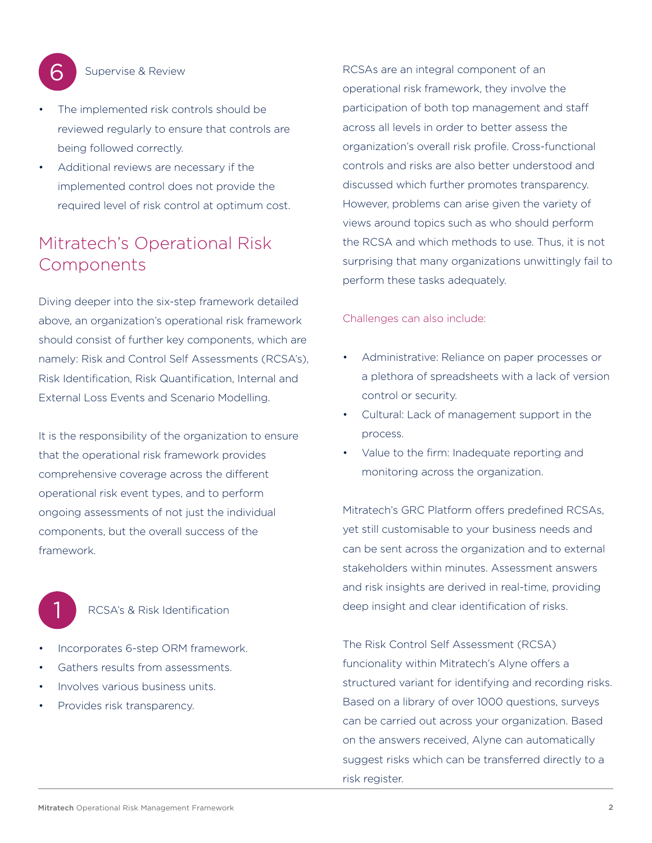

#### Supervise & Review

- The implemented risk controls should be reviewed regularly to ensure that controls are being followed correctly.
- Additional reviews are necessary if the implemented control does not provide the required level of risk control at optimum cost.

## Mitratech's Operational Risk Components

Diving deeper into the six-step framework detailed above, an organization's operational risk framework should consist of further key components, which are namely: Risk and Control Self Assessments (RCSA's), Risk Identification, Risk Quantification, Internal and External Loss Events and Scenario Modelling.

It is the responsibility of the organization to ensure that the operational risk framework provides comprehensive coverage across the different operational risk event types, and to perform ongoing assessments of not just the individual components, but the overall success of the framework.



#### RCSA's & Risk Identification

- Incorporates 6-step ORM framework.
- Gathers results from assessments.
- Involves various business units.
- Provides risk transparency.

RCSAs are an integral component of an operational risk framework, they involve the participation of both top management and staff across all levels in order to better assess the organization's overall risk profile. Cross-functional controls and risks are also better understood and discussed which further promotes transparency. However, problems can arise given the variety of views around topics such as who should perform the RCSA and which methods to use. Thus, it is not surprising that many organizations unwittingly fail to perform these tasks adequately.

#### Challenges can also include:

- Administrative: Reliance on paper processes or a plethora of spreadsheets with a lack of version control or security.
- Cultural: Lack of management support in the process.
- Value to the firm: Inadequate reporting and monitoring across the organization.

Mitratech's GRC Platform offers predefined RCSAs, yet still customisable to your business needs and can be sent across the organization and to external stakeholders within minutes. Assessment answers and risk insights are derived in real-time, providing deep insight and clear identification of risks.

The Risk Control Self Assessment (RCSA) funcionality within Mitratech's Alyne offers a structured variant for identifying and recording risks. Based on a library of over 1000 questions, surveys can be carried out across your organization. Based on the answers received, Alyne can automatically suggest risks which can be transferred directly to a risk register.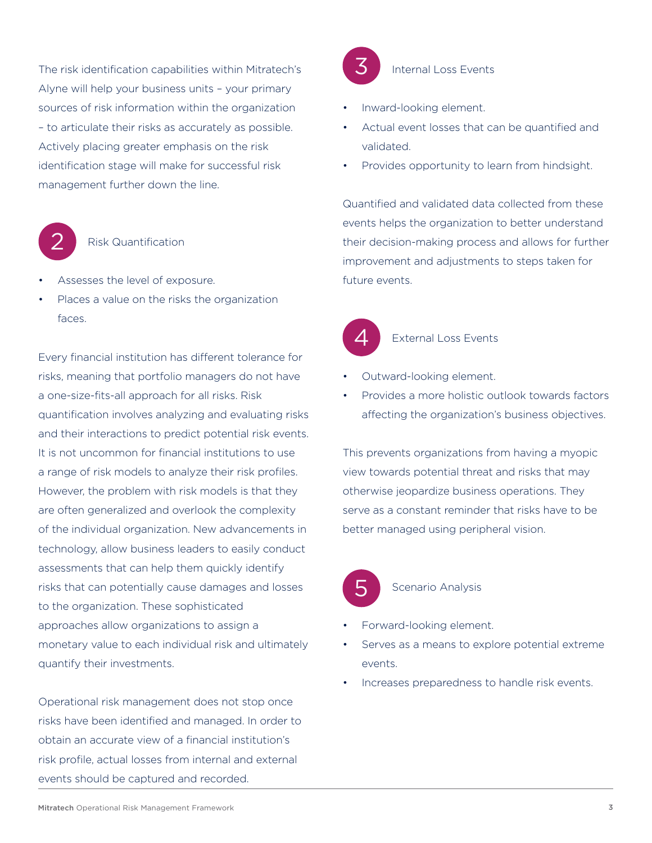The risk identification capabilities within Mitratech's Alyne will help your business units – your primary sources of risk information within the organization – to articulate their risks as accurately as possible. Actively placing greater emphasis on the risk identification stage will make for successful risk management further down the line.



#### Risk Quantification

- Assesses the level of exposure.
- Places a value on the risks the organization faces.

Every financial institution has different tolerance for risks, meaning that portfolio managers do not have a one-size-fits-all approach for all risks. Risk quantification involves analyzing and evaluating risks and their interactions to predict potential risk events. It is not uncommon for financial institutions to use a range of risk models to analyze their risk profiles. However, the problem with risk models is that they are often generalized and overlook the complexity of the individual organization. New advancements in technology, allow business leaders to easily conduct assessments that can help them quickly identify risks that can potentially cause damages and losses to the organization. These sophisticated approaches allow organizations to assign a monetary value to each individual risk and ultimately quantify their investments.

Operational risk management does not stop once risks have been identified and managed. In order to obtain an accurate view of a financial institution's risk profile, actual losses from internal and external events should be captured and recorded.



#### Internal Loss Events

- Inward-looking element.
- Actual event losses that can be quantified and validated.
- Provides opportunity to learn from hindsight.

Quantified and validated data collected from these events helps the organization to better understand their decision-making process and allows for further improvement and adjustments to steps taken for future events.



#### External Loss Events

- Outward-looking element.
- Provides a more holistic outlook towards factors affecting the organization's business objectives.

This prevents organizations from having a myopic view towards potential threat and risks that may otherwise jeopardize business operations. They serve as a constant reminder that risks have to be better managed using peripheral vision.



#### Scenario Analysis

- Forward-looking element.
- Serves as a means to explore potential extreme events.
- Increases preparedness to handle risk events.